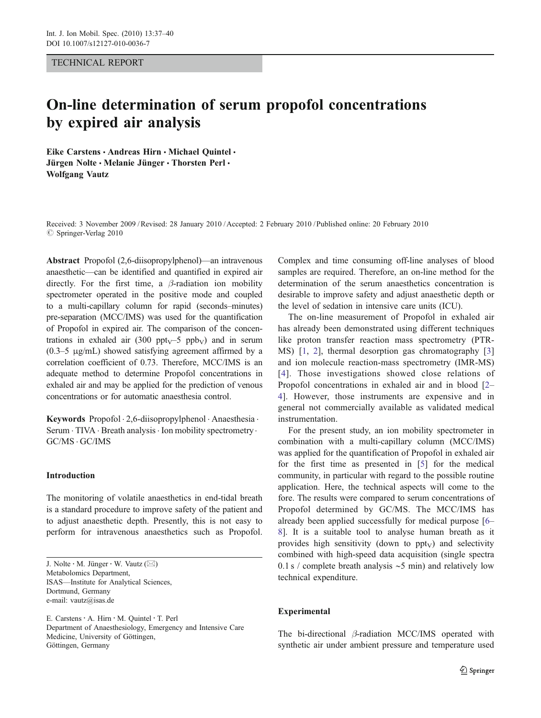### TECHNICAL REPORT

# On-line determination of serum propofol concentrations by expired air analysis

Eike Carstens · Andreas Hirn · Michael Quintel · Jürgen Nolte · Melanie Jünger · Thorsten Perl · Wolfgang Vautz

Received: 3 November 2009 /Revised: 28 January 2010 /Accepted: 2 February 2010 / Published online: 20 February 2010  $\oslash$  Springer-Verlag 2010

Abstract Propofol (2,6-diisopropylphenol)—an intravenous anaesthetic—can be identified and quantified in expired air directly. For the first time, a  $\beta$ -radiation ion mobility spectrometer operated in the positive mode and coupled to a multi-capillary column for rapid (seconds–minutes) pre-separation (MCC/IMS) was used for the quantification of Propofol in expired air. The comparison of the concentrations in exhaled air (300 ppt<sub>V</sub>–5 ppb<sub>V</sub>) and in serum (0.3–5 μg/mL) showed satisfying agreement affirmed by a correlation coefficient of 0.73. Therefore, MCC/IMS is an adequate method to determine Propofol concentrations in exhaled air and may be applied for the prediction of venous concentrations or for automatic anaesthesia control.

Keywords Propofol . 2,6-diisopropylphenol . Anaesthesia . Serum  $\cdot$  TIVA  $\cdot$  Breath analysis  $\cdot$  Ion mobility spectrometry  $\cdot$ GC/MS . GC/IMS

## Introduction

The monitoring of volatile anaesthetics in end-tidal breath is a standard procedure to improve safety of the patient and to adjust anaesthetic depth. Presently, this is not easy to perform for intravenous anaesthetics such as Propofol.

E. Carstens · A. Hirn · M. Quintel · T. Perl Department of Anaesthesiology, Emergency and Intensive Care Medicine, University of Göttingen, Göttingen, Germany

Complex and time consuming off-line analyses of blood samples are required. Therefore, an on-line method for the determination of the serum anaesthetics concentration is desirable to improve safety and adjust anaesthetic depth or the level of sedation in intensive care units (ICU).

The on-line measurement of Propofol in exhaled air has already been demonstrated using different techniques like proton transfer reaction mass spectrometry (PTR-MS) [[1,](#page-3-0) [2](#page-3-0)], thermal desorption gas chromatography [[3](#page-3-0)] and ion molecule reaction-mass spectrometry (IMR-MS) [[4\]](#page-3-0). Those investigations showed close relations of Propofol concentrations in exhaled air and in blood [\[2](#page-3-0)– [4](#page-3-0)]. However, those instruments are expensive and in general not commercially available as validated medical instrumentation.

For the present study, an ion mobility spectrometer in combination with a multi-capillary column (MCC/IMS) was applied for the quantification of Propofol in exhaled air for the first time as presented in [[5\]](#page-3-0) for the medical community, in particular with regard to the possible routine application. Here, the technical aspects will come to the fore. The results were compared to serum concentrations of Propofol determined by GC/MS. The MCC/IMS has already been applied successfully for medical purpose [\[6](#page-3-0)– [8](#page-3-0)]. It is a suitable tool to analyse human breath as it provides high sensitivity (down to  $ppt<sub>V</sub>$ ) and selectivity combined with high-speed data acquisition (single spectra 0.1 s / complete breath analysis ∼5 min) and relatively low technical expenditure.

# Experimental

The bi-directional β-radiation MCC/IMS operated with synthetic air under ambient pressure and temperature used

J. Nolte : M. Jünger : W. Vautz (*\**) Metabolomics Department, ISAS—Institute for Analytical Sciences, Dortmund, Germany e-mail: vautz@isas.de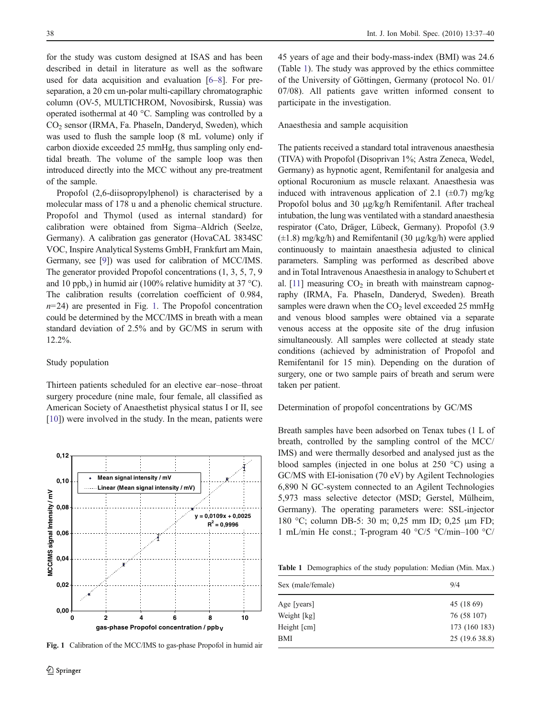for the study was custom designed at ISAS and has been described in detail in literature as well as the software used for data acquisition and evaluation [[6](#page-3-0)–[8\]](#page-3-0). For preseparation, a 20 cm un-polar multi-capillary chromatographic column (OV-5, MULTICHROM, Novosibirsk, Russia) was operated isothermal at 40 °C. Sampling was controlled by a CO<sub>2</sub> sensor (IRMA, Fa. PhaseIn, Danderyd, Sweden), which was used to flush the sample loop (8 mL volume) only if carbon dioxide exceeded 25 mmHg, thus sampling only endtidal breath. The volume of the sample loop was then introduced directly into the MCC without any pre-treatment of the sample.

Propofol (2,6-diisopropylphenol) is characterised by a molecular mass of 178 u and a phenolic chemical structure. Propofol and Thymol (used as internal standard) for calibration were obtained from Sigma–Aldrich (Seelze, Germany). A calibration gas generator (HovaCAL 3834SC VOC, Inspire Analytical Systems GmbH, Frankfurt am Main, Germany, see [[9](#page-3-0)]) was used for calibration of MCC/IMS. The generator provided Propofol concentrations (1, 3, 5, 7, 9 and 10 ppb<sub>v</sub>) in humid air (100% relative humidity at 37 °C). The calibration results (correlation coefficient of 0.984,  $n=24$ ) are presented in Fig. 1. The Propofol concentration could be determined by the MCC/IMS in breath with a mean standard deviation of 2.5% and by GC/MS in serum with 12.2%.

#### Study population

Thirteen patients scheduled for an elective ear–nose–throat surgery procedure (nine male, four female, all classified as American Society of Anaesthetist physical status I or II, see [\[10](#page-3-0)]) were involved in the study. In the mean, patients were



Fig. 1 Calibration of the MCC/IMS to gas-phase Propofol in humid air

45 years of age and their body-mass-index (BMI) was 24.6 (Table 1). The study was approved by the ethics committee of the University of Göttingen, Germany (protocol No. 01/ 07/08). All patients gave written informed consent to participate in the investigation.

## Anaesthesia and sample acquisition

The patients received a standard total intravenous anaesthesia (TIVA) with Propofol (Disoprivan 1%; Astra Zeneca, Wedel, Germany) as hypnotic agent, Remifentanil for analgesia and optional Rocuronium as muscle relaxant. Anaesthesia was induced with intravenous application of 2.1 ( $\pm$ 0.7) mg/kg Propofol bolus and 30 μg/kg/h Remifentanil. After tracheal intubation, the lung was ventilated with a standard anaesthesia respirator (Cato, Dräger, Lübeck, Germany). Propofol (3.9  $(\pm 1.8)$  mg/kg/h) and Remifentanil (30  $\mu$ g/kg/h) were applied continuously to maintain anaesthesia adjusted to clinical parameters. Sampling was performed as described above and in Total Intravenous Anaesthesia in analogy to Schubert et al.  $[11]$  $[11]$  $[11]$  measuring  $CO<sub>2</sub>$  in breath with mainstream capnography (IRMA, Fa. PhaseIn, Danderyd, Sweden). Breath samples were drawn when the  $CO<sub>2</sub>$  level exceeded 25 mmHg and venous blood samples were obtained via a separate venous access at the opposite site of the drug infusion simultaneously. All samples were collected at steady state conditions (achieved by administration of Propofol and Remifentanil for 15 min). Depending on the duration of surgery, one or two sample pairs of breath and serum were taken per patient.

## Determination of propofol concentrations by GC/MS

Breath samples have been adsorbed on Tenax tubes (1 L of breath, controlled by the sampling control of the MCC/ IMS) and were thermally desorbed and analysed just as the blood samples (injected in one bolus at 250 °C) using a GC/MS with EI-ionisation (70 eV) by Agilent Technologies 6,890 N GC-system connected to an Agilent Technologies 5,973 mass selective detector (MSD; Gerstel, Mülheim, Germany). The operating parameters were: SSL-injector 180 °C; column DB-5: 30 m; 0,25 mm ID; 0,25 μm FD; 1 mL/min He const.; T-program 40 °C/5 °C/min–100 °C/

Table 1 Demographics of the study population: Median (Min. Max.)

| Sex (male/female) | 9/4            |
|-------------------|----------------|
| Age [years]       | 45 (18 69)     |
| Weight [kg]       | 76 (58 107)    |
| Height [cm]       | 173 (160 183)  |
| <b>BMI</b>        | 25 (19.6 38.8) |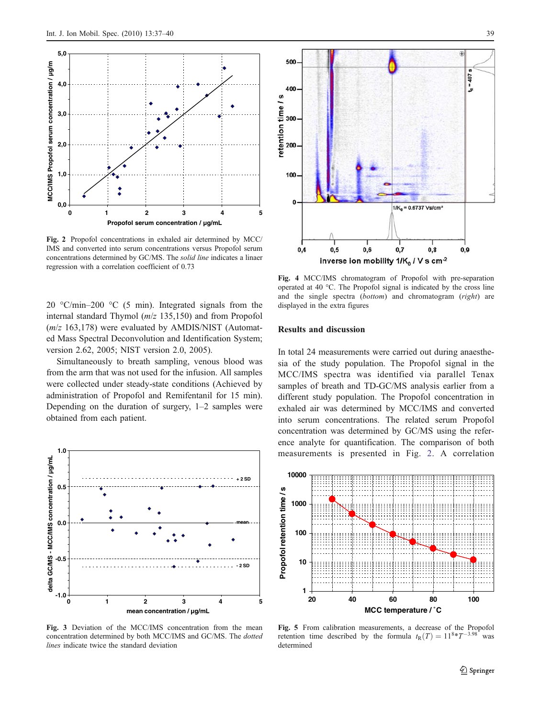<span id="page-2-0"></span>

Fig. 2 Propofol concentrations in exhaled air determined by MCC/ IMS and converted into serum concentrations versus Propofol serum concentrations determined by GC/MS. The solid line indicates a linaer regression with a correlation coefficient of 0.73

20  $\degree$ C/min–200  $\degree$ C (5 min). Integrated signals from the internal standard Thymol (m/z 135,150) and from Propofol  $(m/z 163,178)$  were evaluated by AMDIS/NIST (Automated Mass Spectral Deconvolution and Identification System; version 2.62, 2005; NIST version 2.0, 2005).

Simultaneously to breath sampling, venous blood was from the arm that was not used for the infusion. All samples were collected under steady-state conditions (Achieved by administration of Propofol and Remifentanil for 15 min). Depending on the duration of surgery, 1–2 samples were obtained from each patient.



Fig. 3 Deviation of the MCC/IMS concentration from the mean concentration determined by both MCC/IMS and GC/MS. The dotted lines indicate twice the standard deviation



Fig. 4 MCC/IMS chromatogram of Propofol with pre-separation operated at 40 °C. The Propofol signal is indicated by the cross line and the single spectra (bottom) and chromatogram (right) are displayed in the extra figures

inverse ion mobility  $1/K_0 / V$  s cm<sup>-2</sup>

### Results and discussion

S

In total 24 measurements were carried out during anaesthesia of the study population. The Propofol signal in the MCC/IMS spectra was identified via parallel Tenax samples of breath and TD-GC/MS analysis earlier from a different study population. The Propofol concentration in exhaled air was determined by MCC/IMS and converted into serum concentrations. The related serum Propofol concentration was determined by GC/MS using the reference analyte for quantification. The comparison of both measurements is presented in Fig. 2. A correlation



Fig. 5 From calibration measurements, a decrease of the Propofol retention time described by the formula  $t_R(T) = 11^{8*}T^{-3.98}$  was determined